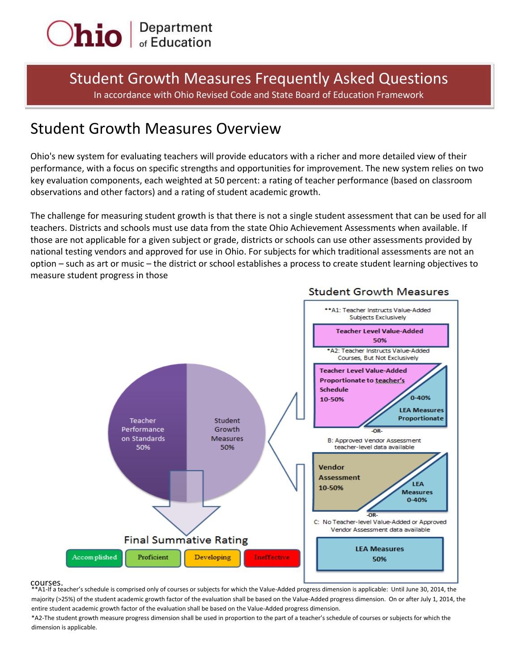

# Student Growth Measures Frequently Asked Questions In accordance with Ohio Revised Code and State Board of Education Framework

# Student Growth Measures Overview

Ohio's new system for evaluating teachers will provide educators with a richer and more detailed view of their performance, with a focus on specific strengths and opportunities for improvement. The new system relies on two key evaluation components, each weighted at 50 percent: a rating of teacher performance (based on classroom observations and other factors) and a rating of student academic growth.

The challenge for measuring student growth is that there is not a single student assessment that can be used for all teachers. Districts and schools must use data from the state Ohio Achievement Assessments when available. If those are not applicable for a given subject or grade, districts or schools can use other assessments provided by national testing vendors and approved for use in Ohio. For subjects for which traditional assessments are not an option – such as art or music – the district or school establishes a process to create student learning objectives to measure student progress in those



# **Student Growth Measures**

## courses.

A1-If a teacher's schedule is comprised only of courses or subjects for which the Value-Added progress dimension is applicable: Until June 30, 2014, the majority (>25%) of the student academic growth factor of the evaluation shall be based on the Value-Added progress dimension. On or after July 1, 2014, the entire student academic growth factor of the evaluation shall be based on the Value-Added progress dimension.

\*A2-The student growth measure progress dimension shall be used in proportion to the part of a teacher's schedule of courses or subjects for which the dimension is applicable.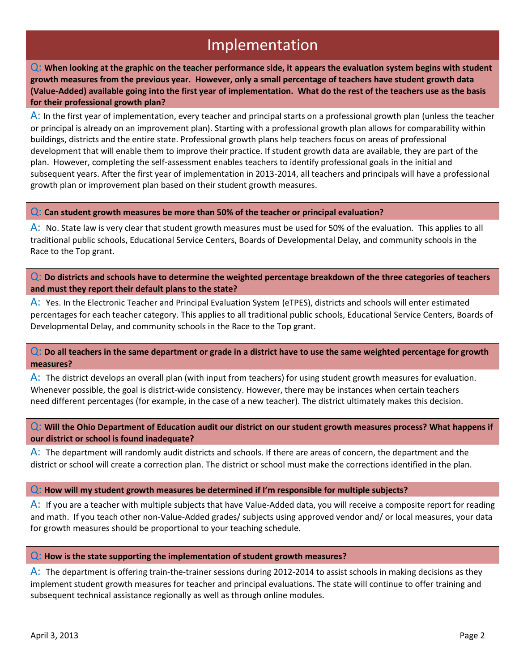# Implementation

Q: **When looking at the graphic on the teacher performance side, it appears the evaluation system begins with student growth measures from the previous year. However, only a small percentage of teachers have student growth data (Value-Added) available going into the first year of implementation. What do the rest of the teachers use as the basis for their professional growth plan?**

A: In the first year of implementation, every teacher and principal starts on a professional growth plan (unless the teacher or principal is already on an improvement plan). Starting with a professional growth plan allows for comparability within buildings, districts and the entire state. Professional growth plans help teachers focus on areas of professional development that will enable them to improve their practice. If student growth data are available, they are part of the plan. However, completing the self-assessment enables teachers to identify professional goals in the initial and subsequent years. After the first year of implementation in 2013-2014, all teachers and principals will have a professional growth plan or improvement plan based on their student growth measures.

Q: **Can student growth measures be more than 50% of the teacher or principal evaluation?**

A: No. State law is very clear that student growth measures must be used for 50% of the evaluation. This applies to all traditional public schools, Educational Service Centers, Boards of Developmental Delay, and community schools in the Race to the Top grant.

Q: **Do districts and schools have to determine the weighted percentage breakdown of the three categories of teachers and must they report their default plans to the state?**

A: Yes. In the Electronic Teacher and Principal Evaluation System (eTPES), districts and schools will enter estimated percentages for each teacher category. This applies to all traditional public schools, Educational Service Centers, Boards of Developmental Delay, and community schools in the Race to the Top grant.

## Q: **Do all teachers in the same department or grade in a district have to use the same weighted percentage for growth measures?**

A: The district develops an overall plan (with input from teachers) for using student growth measures for evaluation. Whenever possible, the goal is district-wide consistency. However, there may be instances when certain teachers need different percentages (for example, in the case of a new teacher). The district ultimately makes this decision.

Q: **Will the Ohio Department of Education audit our district on our student growth measures process? What happens if our district or school is found inadequate?**

A: The department will randomly audit districts and schools. If there are areas of concern, the department and the district or school will create a correction plan. The district or school must make the corrections identified in the plan.

#### Q: **How will my student growth measures be determined if I'm responsible for multiple subjects?**

A: If you are a teacher with multiple subjects that have Value-Added data, you will receive a composite report for reading and math. If you teach other non-Value-Added grades/ subjects using approved vendor and/ or local measures, your data for growth measures should be proportional to your teaching schedule.

#### Q: **How is the state supporting the implementation of student growth measures?**

A: The department is offering train-the-trainer sessions during 2012-2014 to assist schools in making decisions as they implement student growth measures for teacher and principal evaluations. The state will continue to offer training and subsequent technical assistance regionally as well as through online modules.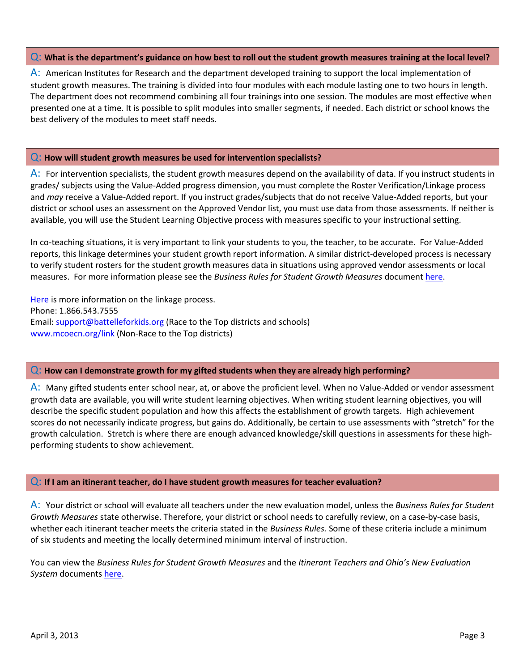### Q: **What is the department's guidance on how best to roll out the student growth measures training at the local level?**

A: American Institutes for Research and the department developed training to support the local implementation of student growth measures. The training is divided into four modules with each module lasting one to two hours in length. The department does not recommend combining all four trainings into one session. The modules are most effective when presented one at a time. It is possible to split modules into smaller segments, if needed. Each district or school knows the best delivery of the modules to meet staff needs.

#### Q: **How will student growth measures be used for intervention specialists?**

A: For intervention specialists, the student growth measures depend on the availability of data. If you instruct students in grades/ subjects using the Value-Added progress dimension, you must complete the Roster Verification/Linkage process and *may* receive a Value-Added report. If you instruct grades/subjects that do not receive Value-Added reports, but your district or school uses an assessment on the Approved Vendor list, you must use data from those assessments. If neither is available, you will use the Student Learning Objective process with measures specific to your instructional setting.

In co-teaching situations, it is very important to link your students to you, the teacher, to be accurate. For Value-Added reports, this linkage determines your student growth report information. A similar district-developed process is necessary to verify student rosters for the student growth measures data in situations using approved vendor assessments or local measures. For more information please see the *Business Rules for Student Growth Measures* document [here.](http://education.ohio.gov/GD/Templates/Pages/ODE/ODEDetail.aspx?page=3&TopicRelationID=1230&ContentID=125742)

[Here](http://portal.battelleforkids.org/ohio/Race_to_the_Top/linkage_overview.html?sflang=en) is more information on the linkage process. Phone: 1.866.543.7555 Email: [support@battelleforkids.org](https://mail.em.ohio.gov/owa/redir.aspx?C=OYpGI6Ga7EWiLiYC8-IIRoNNStAgIM8IIeRpbLryMtqg1MxoTUwFGBjb6qsTdczke7UjIa5SKdU.&URL=mailto%3asupport%40battelleforkids.org) (Race to the Top districts and schools) [www.mcoecn.org/link](http://www.mcoecn.org/link) (Non-Race to the Top districts)

## Q: **How can I demonstrate growth for my gifted students when they are already high performing?**

A: Many gifted students enter school near, at, or above the proficient level. When no Value-Added or vendor assessment growth data are available, you will write student learning objectives. When writing student learning objectives, you will describe the specific student population and how this affects the establishment of growth targets. High achievement scores do not necessarily indicate progress, but gains do. Additionally, be certain to use assessments with "stretch" for the growth calculation. Stretch is where there are enough advanced knowledge/skill questions in assessments for these highperforming students to show achievement.

#### Q: **If I am an itinerant teacher, do I have student growth measures for teacher evaluation?**

A: Your district or school will evaluate all teachers under the new evaluation model, unless the *Business Rules for Student Growth Measures* state otherwise. Therefore, your district or school needs to carefully review, on a case-by-case basis, whether each itinerant teacher meets the criteria stated in the *Business Rules.* Some of these criteria include a minimum of six students and meeting the locally determined minimum interval of instruction.

You can view the *Business Rules for Student Growth Measures* and the *Itinerant Teachers and Ohio's New Evaluation System* documents [here.](http://education.ohio.gov/GD/Templates/Pages/ODE/ODEDetail.aspx?page=3&TopicRelationID=1230&ContentID=125742)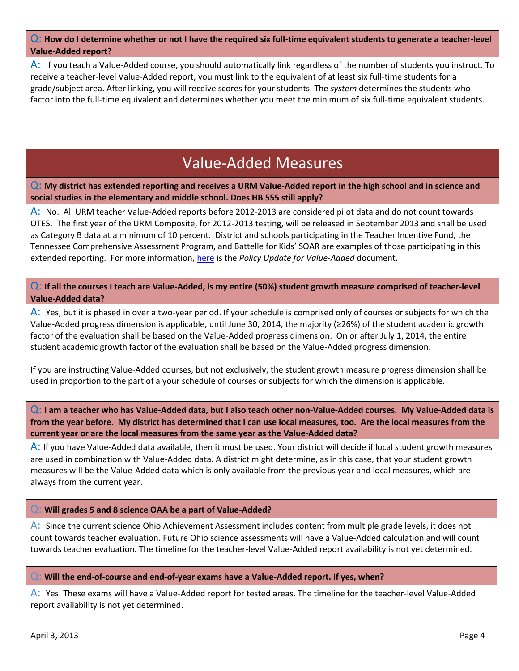## Q: **How do I determine whether or not I have the required six full-time equivalent students to generate a teacher-level Value-Added report?**

A: If you teach a Value-Added course, you should automatically link regardless of the number of students you instruct. To receive a teacher-level Value-Added report, you must link to the equivalent of at least six full-time students for a grade/subject area. After linking, you will receive scores for your students. The *system* determines the students who factor into the full-time equivalent and determines whether you meet the minimum of six full-time equivalent students.

# Value-Added Measures

Q: **My district has extended reporting and receives a URM Value-Added report in the high school and in science and social studies in the elementary and middle school. Does HB 555 still apply?**

A: No. All URM teacher Value-Added reports before 2012-2013 are considered pilot data and do not count towards OTES. The first year of the URM Composite, for 2012-2013 testing, will be released in September 2013 and shall be used as Category B data at a minimum of 10 percent. District and schools participating in the Teacher Incentive Fund, the Tennessee Comprehensive Assessment Program, and Battelle for Kids' SOAR are examples of those participating in this extended reporting. For more information, [here](http://education.ohio.gov/GD/Templates/Pages/ODE/ODEDetail.aspx?page=3&TopicRelationID=1230&ContentID=125742) is the *Policy Update for Value-Added* document.

Q: **If all the courses I teach are Value-Added, is my entire (50%) student growth measure comprised of teacher-level Value-Added data?**

A: Yes, but it is phased in over a two-year period. If your schedule is comprised only of courses or subjects for which the Value-Added progress dimension is applicable, until June 30, 2014, the majority (≥26%) of the student academic growth factor of the evaluation shall be based on the Value-Added progress dimension. On or after July 1, 2014, the entire student academic growth factor of the evaluation shall be based on the Value-Added progress dimension.

If you are instructing Value-Added courses, but not exclusively, the student growth measure progress dimension shall be used in proportion to the part of a your schedule of courses or subjects for which the dimension is applicable.

Q: **I am a teacher who has Value-Added data, but I also teach other non-Value-Added courses. My Value-Added data is from the year before. My district has determined that I can use local measures, too. Are the local measures from the current year or are the local measures from the same year as the Value-Added data?**

A: If you have Value-Added data available, then it must be used. Your district will decide if local student growth measures are used in combination with Value-Added data. A district might determine, as in this case, that your student growth measures will be the Value-Added data which is only available from the previous year and local measures, which are always from the current year.

#### Q: **Will grades 5 and 8 science OAA be a part of Value-Added?**

A: Since the current science Ohio Achievement Assessment includes content from multiple grade levels, it does not count towards teacher evaluation. Future Ohio science assessments will have a Value-Added calculation and will count towards teacher evaluation. The timeline for the teacher-level Value-Added report availability is not yet determined.

#### Q: **Will the end-of-course and end-of-year exams have a Value-Added report. If yes, when?**

A: Yes. These exams will have a Value-Added report for tested areas. The timeline for the teacher-level Value-Added report availability is not yet determined.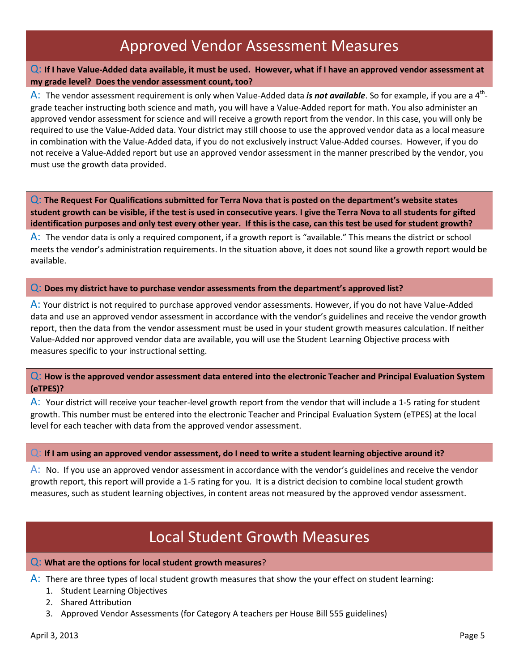# Approved Vendor Assessment Measures

## Q: **If I have Value-Added data available, it must be used. However, what if I have an approved vendor assessment at my grade level? Does the vendor assessment count, too?**

A: The vendor assessment requirement is only when Value-Added data is not available. So for example, if you are a 4<sup>th</sup>grade teacher instructing both science and math, you will have a Value-Added report for math. You also administer an approved vendor assessment for science and will receive a growth report from the vendor. In this case, you will only be required to use the Value-Added data. Your district may still choose to use the approved vendor data as a local measure in combination with the Value-Added data, if you do not exclusively instruct Value-Added courses. However, if you do not receive a Value-Added report but use an approved vendor assessment in the manner prescribed by the vendor, you must use the growth data provided.

Q: **The Request For Qualifications submitted for Terra Nova that is posted on the department's website states student growth can be visible, if the test is used in consecutive years. I give the Terra Nova to all students for gifted identification purposes and only test every other year. If this is the case, can this test be used for student growth?**

A: The vendor data is only a required component, if a growth report is "available." This means the district or school meets the vendor's administration requirements. In the situation above, it does not sound like a growth report would be available.

### Q: **Does my district have to purchase vendor assessments from the department's approved list?**

A: Your district is not required to purchase approved vendor assessments. However, if you do not have Value-Added data and use an approved vendor assessment in accordance with the vendor's guidelines and receive the vendor growth report, then the data from the vendor assessment must be used in your student growth measures calculation. If neither Value-Added nor approved vendor data are available, you will use the Student Learning Objective process with measures specific to your instructional setting.

## Q: **How is the approved vendor assessment data entered into the electronic Teacher and Principal Evaluation System (eTPES)?**

A: Your district will receive your teacher-level growth report from the vendor that will include a 1-5 rating for student growth. This number must be entered into the electronic Teacher and Principal Evaluation System (eTPES) at the local level for each teacher with data from the approved vendor assessment.

#### Q: **If I am using an approved vendor assessment, do I need to write a student learning objective around it?**

A: No. If you use an approved vendor assessment in accordance with the vendor's guidelines and receive the vendor growth report, this report will provide a 1-5 rating for you. It is a district decision to combine local student growth measures, such as student learning objectives, in content areas not measured by the approved vendor assessment.

# Local Student Growth Measures

#### Q: **What are the options for local student growth measures**?

A: There are three types of local student growth measures that show the your effect on student learning:

- 1. Student Learning Objectives
- 2. Shared Attribution
- 3. Approved Vendor Assessments (for Category A teachers per House Bill 555 guidelines)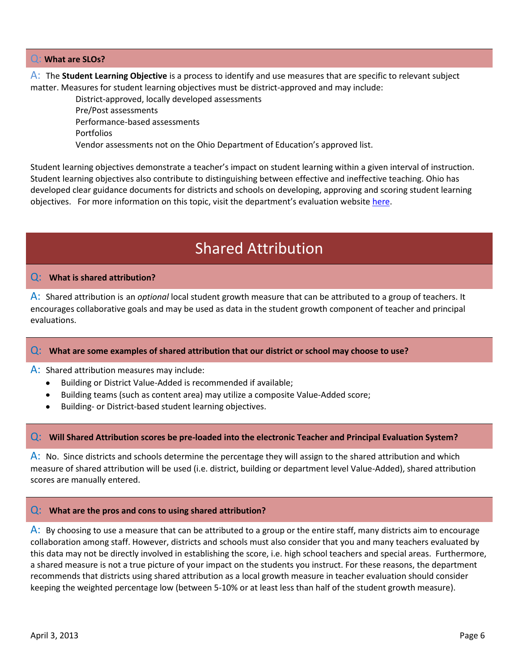### Q: **What are SLOs?**

A: The **Student Learning Objective** is a process to identify and use measures that are specific to relevant subject matter. Measures for student learning objectives must be district-approved and may include:

District-approved, locally developed assessments Pre/Post assessments Performance-based assessments Portfolios Vendor assessments not on the Ohio Department of Education's approved list.

Student learning objectives demonstrate a teacher's impact on student learning within a given interval of instruction. Student learning objectives also contribute to distinguishing between effective and ineffective teaching. Ohio has developed clear guidance documents for districts and schools on developing, approving and scoring student learning objectives. For more information on this topic, visit the department's evaluation website [here.](http://education.ohio.gov/GD/Templates/Pages/ODE/ODEDedicatedPage.aspx?page=970)

# Shared Attribution

## Q: **What is shared attribution?**

A: Shared attribution is an *optional* local student growth measure that can be attributed to a group of teachers. It encourages collaborative goals and may be used as data in the student growth component of teacher and principal evaluations.

#### Q: **What are some examples of shared attribution that our district or school may choose to use?**

A: Shared attribution measures may include:

- Building or District Value-Added is recommended if available;  $\bullet$
- Building teams (such as content area) may utilize a composite Value-Added score;
- Building- or District-based student learning objectives.

## Q: **Will Shared Attribution scores be pre-loaded into the electronic Teacher and Principal Evaluation System?**

A: No. Since districts and schools determine the percentage they will assign to the shared attribution and which measure of shared attribution will be used (i.e. district, building or department level Value-Added), shared attribution scores are manually entered.

#### Q: **What are the pros and cons to using shared attribution?**

A: By choosing to use a measure that can be attributed to a group or the entire staff, many districts aim to encourage collaboration among staff. However, districts and schools must also consider that you and many teachers evaluated by this data may not be directly involved in establishing the score, i.e. high school teachers and special areas. Furthermore, a shared measure is not a true picture of your impact on the students you instruct. For these reasons, the department recommends that districts using shared attribution as a local growth measure in teacher evaluation should consider keeping the weighted percentage low (between 5-10% or at least less than half of the student growth measure).